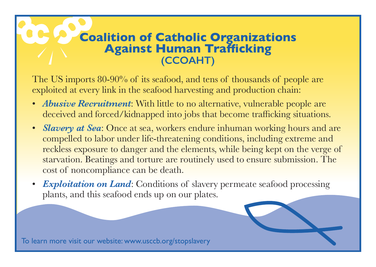## **Coalition of Catholic Organizations Against Human Trafficking (CCOAHT)**

The US imports 80-90% of its seafood, and tens of thousands of people are exploited at every link in the seafood harvesting and production chain:

- *Abusive Recruitment*: With little to no alternative, vulnerable people are deceived and forced/kidnapped into jobs that become trafficking situations.
- *Slavery at Sea*: Once at sea, workers endure inhuman working hours and are compelled to labor under life-threatening conditions, including extreme and reckless exposure to danger and the elements, while being kept on the verge of starvation. Beatings and torture are routinely used to ensure submission. The cost of noncompliance can be death.
- **Exploitation on Land:** Conditions of slavery permeate seafood processing plants, and this seafood ends up on our plates.

To learn more visit our website: www.usccb.org/stopslavery